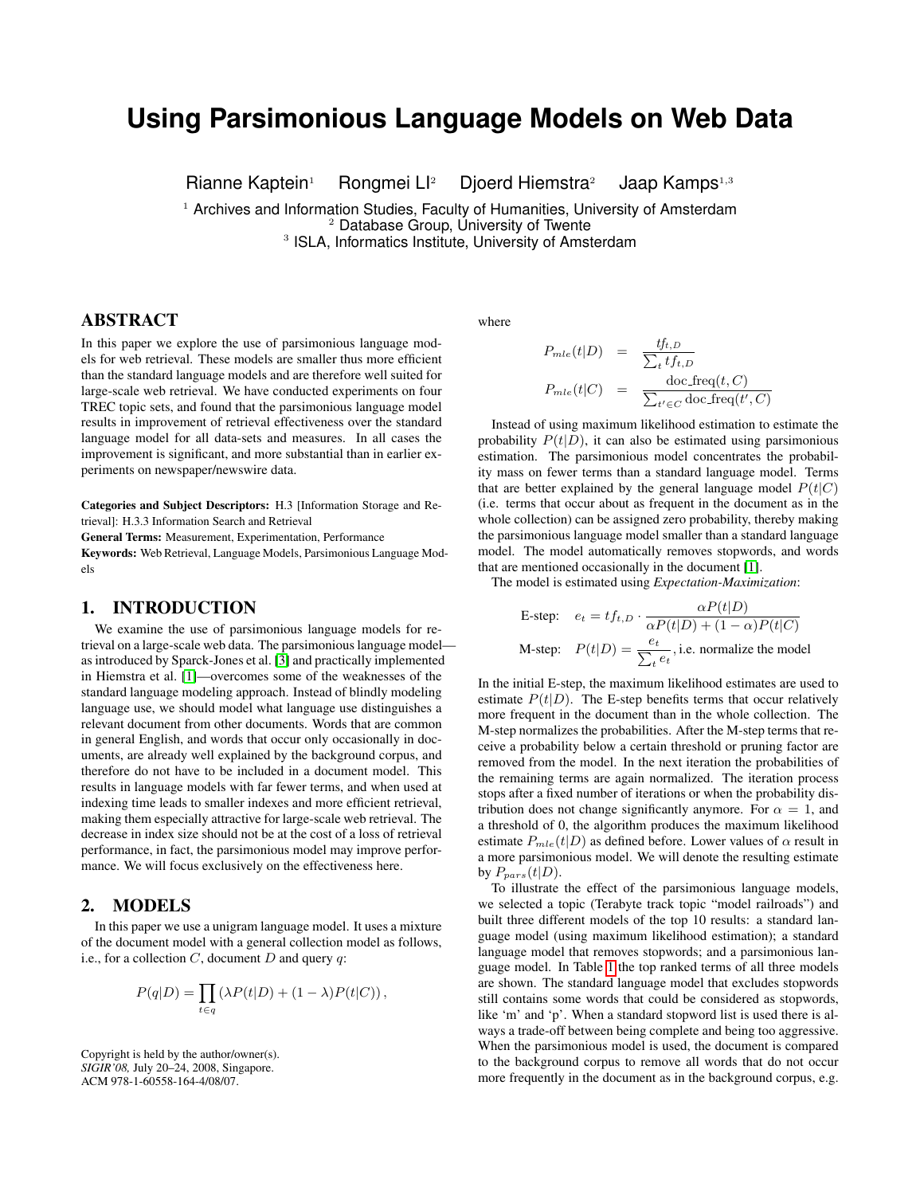# **Using Parsimonious Language Models on Web Data**

Rianne Kaptein<sup>1</sup> Rongmei Ll<sup>2</sup> Djoerd Hiemstra<sup>2</sup> Jaap Kamps<sup>1,3</sup>

 $<sup>1</sup>$  Archives and Information Studies, Faculty of Humanities, University of Amsterdam</sup> <sup>2</sup> Database Group, University of Twente

<sup>3</sup> ISLA, Informatics Institute, University of Amsterdam

# ABSTRACT

In this paper we explore the use of parsimonious language models for web retrieval. These models are smaller thus more efficient than the standard language models and are therefore well suited for large-scale web retrieval. We have conducted experiments on four TREC topic sets, and found that the parsimonious language model results in improvement of retrieval effectiveness over the standard language model for all data-sets and measures. In all cases the improvement is significant, and more substantial than in earlier experiments on newspaper/newswire data.

Categories and Subject Descriptors: H.3 [Information Storage and Retrieval]: H.3.3 Information Search and Retrieval

General Terms: Measurement, Experimentation, Performance

Keywords: Web Retrieval, Language Models, Parsimonious Language Models

#### 1. INTRODUCTION

We examine the use of parsimonious language models for retrieval on a large-scale web data. The parsimonious language model as introduced by Sparck-Jones et al. [\[3\]](#page-1-0) and practically implemented in Hiemstra et al. [\[1\]](#page-1-1)—overcomes some of the weaknesses of the standard language modeling approach. Instead of blindly modeling language use, we should model what language use distinguishes a relevant document from other documents. Words that are common in general English, and words that occur only occasionally in documents, are already well explained by the background corpus, and therefore do not have to be included in a document model. This results in language models with far fewer terms, and when used at indexing time leads to smaller indexes and more efficient retrieval, making them especially attractive for large-scale web retrieval. The decrease in index size should not be at the cost of a loss of retrieval performance, in fact, the parsimonious model may improve performance. We will focus exclusively on the effectiveness here.

#### <span id="page-0-0"></span>2. MODELS

In this paper we use a unigram language model. It uses a mixture of the document model with a general collection model as follows, i.e., for a collection  $C$ , document  $D$  and query  $q$ :

$$
P(q|D) = \prod_{t \in q} (\lambda P(t|D) + (1 - \lambda)P(t|C)),
$$

Copyright is held by the author/owner(s). *SIGIR'08,* July 20–24, 2008, Singapore. ACM 978-1-60558-164-4/08/07.

where

$$
P_{mle}(t|D) = \frac{tf_{t,D}}{\sum_{t}tf_{t,D}}
$$

$$
P_{mle}(t|C) = \frac{\text{doc\_freq}(t,C)}{\sum_{t' \in C} \text{doc\_freq}(t',C)}
$$

Instead of using maximum likelihood estimation to estimate the probability  $P(t|D)$ , it can also be estimated using parsimonious estimation. The parsimonious model concentrates the probability mass on fewer terms than a standard language model. Terms that are better explained by the general language model  $P(t|C)$ (i.e. terms that occur about as frequent in the document as in the whole collection) can be assigned zero probability, thereby making the parsimonious language model smaller than a standard language model. The model automatically removes stopwords, and words that are mentioned occasionally in the document [\[1\]](#page-1-1).

The model is estimated using *Expectation-Maximization*:

E-step: 
$$
e_t = tf_{t,D} \cdot \frac{\alpha P(t|D)}{\alpha P(t|D) + (1-\alpha)P(t|C)}
$$
  
M-step:  $P(t|D) = \frac{e_t}{\sum_t e_t}$ , i.e. normalize the model

In the initial E-step, the maximum likelihood estimates are used to estimate  $P(t|D)$ . The E-step benefits terms that occur relatively more frequent in the document than in the whole collection. The M-step normalizes the probabilities. After the M-step terms that receive a probability below a certain threshold or pruning factor are removed from the model. In the next iteration the probabilities of the remaining terms are again normalized. The iteration process stops after a fixed number of iterations or when the probability distribution does not change significantly anymore. For  $\alpha = 1$ , and a threshold of 0, the algorithm produces the maximum likelihood estimate  $P_{mle}(t|D)$  as defined before. Lower values of  $\alpha$  result in a more parsimonious model. We will denote the resulting estimate by  $P_{pars}(t|D)$ .

To illustrate the effect of the parsimonious language models, we selected a topic (Terabyte track topic "model railroads") and built three different models of the top 10 results: a standard language model (using maximum likelihood estimation); a standard language model that removes stopwords; and a parsimonious language model. In Table [1](#page-1-2) the top ranked terms of all three models are shown. The standard language model that excludes stopwords still contains some words that could be considered as stopwords, like 'm' and 'p'. When a standard stopword list is used there is always a trade-off between being complete and being too aggressive. When the parsimonious model is used, the document is compared to the background corpus to remove all words that do not occur more frequently in the document as in the background corpus, e.g.